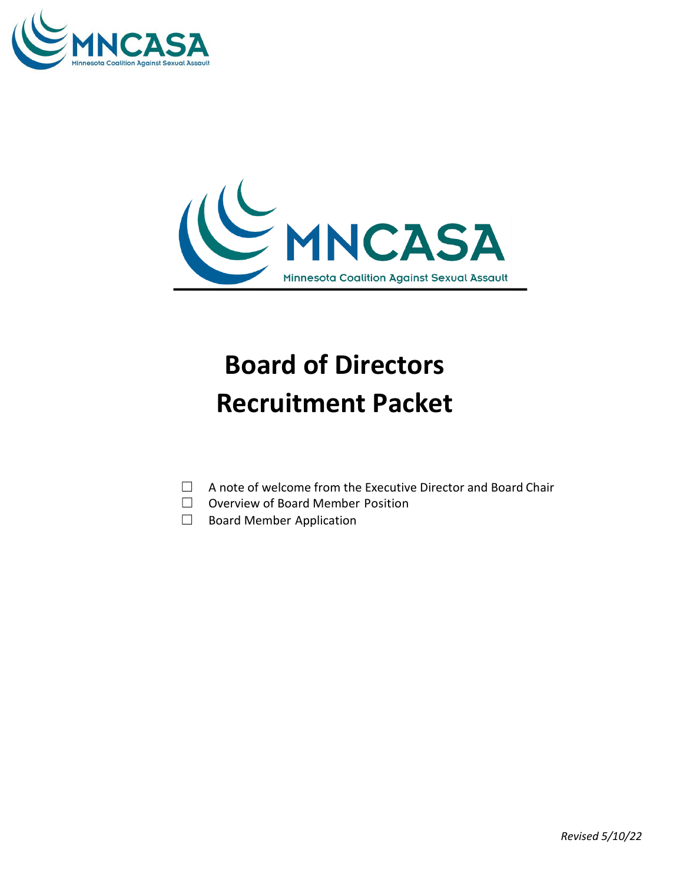



# **Board of Directors Recruitment Packet**

- ☐ A note of welcome from the Executive Director and Board Chair
- ☐ Overview of Board Member Position
- □ Board Member Application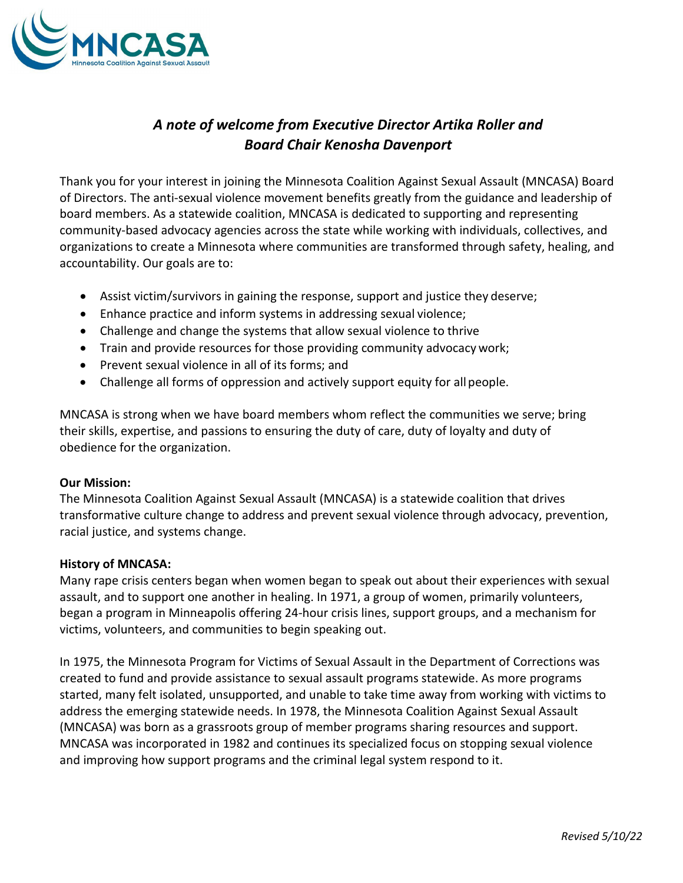

## *A note of welcome from Executive Director Artika Roller and Board Chair Kenosha Davenport*

Thank you for your interest in joining the Minnesota Coalition Against Sexual Assault (MNCASA) Board of Directors. The anti-sexual violence movement benefits greatly from the guidance and leadership of board members. As a statewide coalition, MNCASA is dedicated to supporting and representing community-based advocacy agencies across the state while working with individuals, collectives, and organizations to create a Minnesota where communities are transformed through safety, healing, and accountability. Our goals are to:

- Assist victim/survivors in gaining the response, support and justice they deserve;
- Enhance practice and inform systems in addressing sexual violence;
- Challenge and change the systems that allow sexual violence to thrive
- Train and provide resources for those providing community advocacy work;
- Prevent sexual violence in all of its forms; and
- Challenge all forms of oppression and actively support equity for all people.

MNCASA is strong when we have board members whom reflect the communities we serve; bring their skills, expertise, and passions to ensuring the duty of care, duty of loyalty and duty of obedience for the organization.

## **Our Mission:**

The Minnesota Coalition Against Sexual Assault (MNCASA) is a statewide coalition that drives transformative culture change to address and prevent sexual violence through advocacy, prevention, racial justice, and systems change.

## **History of MNCASA:**

Many rape crisis centers began when women began to speak out about their experiences with sexual assault, and to support one another in healing. In 1971, a group of women, primarily volunteers, began a program in Minneapolis offering 24-hour crisis lines, support groups, and a mechanism for victims, volunteers, and communities to begin speaking out.

In 1975, the Minnesota Program for Victims of Sexual Assault in the Department of Corrections was created to fund and provide assistance to sexual assault programs statewide. As more programs started, many felt isolated, unsupported, and unable to take time away from working with victims to address the emerging statewide needs. In 1978, the Minnesota Coalition Against Sexual Assault (MNCASA) was born as a grassroots group of member programs sharing resources and support. MNCASA was incorporated in 1982 and continues its specialized focus on stopping sexual violence and improving how support programs and the criminal legal system respond to it.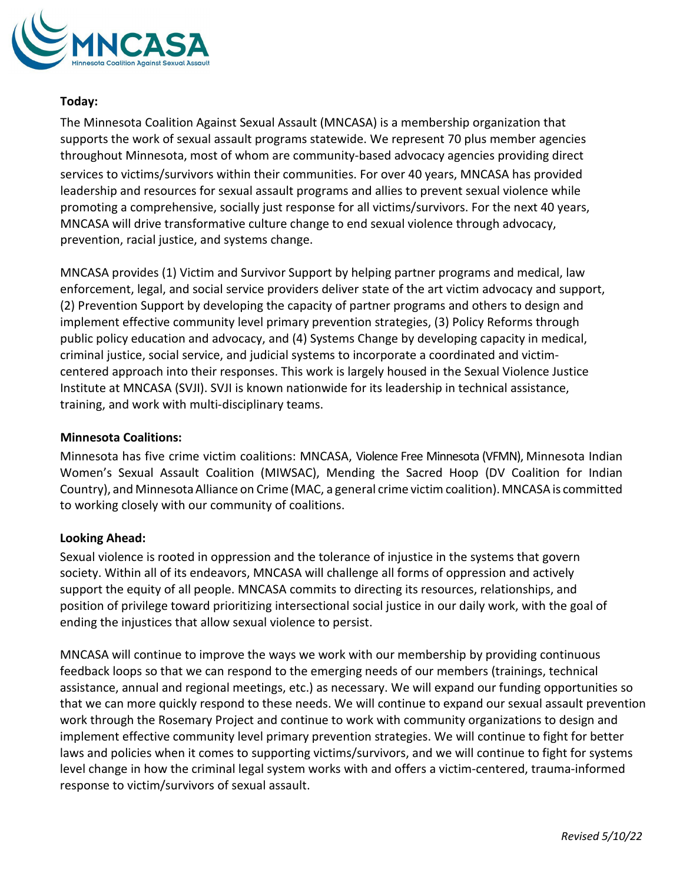

## **Today:**

The Minnesota Coalition Against Sexual Assault (MNCASA) is a membership organization that supports the work of sexual assault programs statewide. We represent 70 plus member agencies throughout Minnesota, most of whom are community-based advocacy agencies providing direct services to victims/survivors within their communities. For over 40 years, MNCASA has provided leadership and resources for sexual assault programs and allies to prevent sexual violence while promoting a comprehensive, socially just response for all victims/survivors. For the next 40 years, MNCASA will drive transformative culture change to end sexual violence through advocacy, prevention, racial justice, and systems change.

MNCASA provides (1) Victim and Survivor Support by helping partner programs and medical, law enforcement, legal, and social service providers deliver state of the art victim advocacy and support, (2) Prevention Support by developing the capacity of partner programs and others to design and implement effective community level primary prevention strategies, (3) Policy Reforms through public policy education and advocacy, and (4) Systems Change by developing capacity in medical, criminal justice, social service, and judicial systems to incorporate a coordinated and victimcentered approach into their responses. This work is largely housed in the Sexual Violence Justice Institute at MNCASA (SVJI). SVJI is known nationwide for its leadership in technical assistance, training, and work with multi-disciplinary teams.

#### **Minnesota Coalitions:**

Minnesota has five crime victim coalitions: MNCASA, Violence Free Minnesota (VFMN), Minnesota Indian Women's Sexual Assault Coalition (MIWSAC), Mending the Sacred Hoop (DV Coalition for Indian Country), and MinnesotaAlliance on Crime (MAC, a general crime victim coalition).MNCASA is committed to working closely with our community of coalitions.

## **Looking Ahead:**

Sexual violence is rooted in oppression and the tolerance of injustice in the systems that govern society. Within all of its endeavors, MNCASA will challenge all forms of oppression and actively support the equity of all people. MNCASA commits to directing its resources, relationships, and position of privilege toward prioritizing intersectional social justice in our daily work, with the goal of ending the injustices that allow sexual violence to persist.

MNCASA will continue to improve the ways we work with our membership by providing continuous feedback loops so that we can respond to the emerging needs of our members (trainings, technical assistance, annual and regional meetings, etc.) as necessary. We will expand our funding opportunities so that we can more quickly respond to these needs. We will continue to expand our sexual assault prevention work through the Rosemary Project and continue to work with community organizations to design and implement effective community level primary prevention strategies. We will continue to fight for better laws and policies when it comes to supporting victims/survivors, and we will continue to fight for systems level change in how the criminal legal system works with and offers a victim-centered, trauma-informed response to victim/survivors of sexual assault.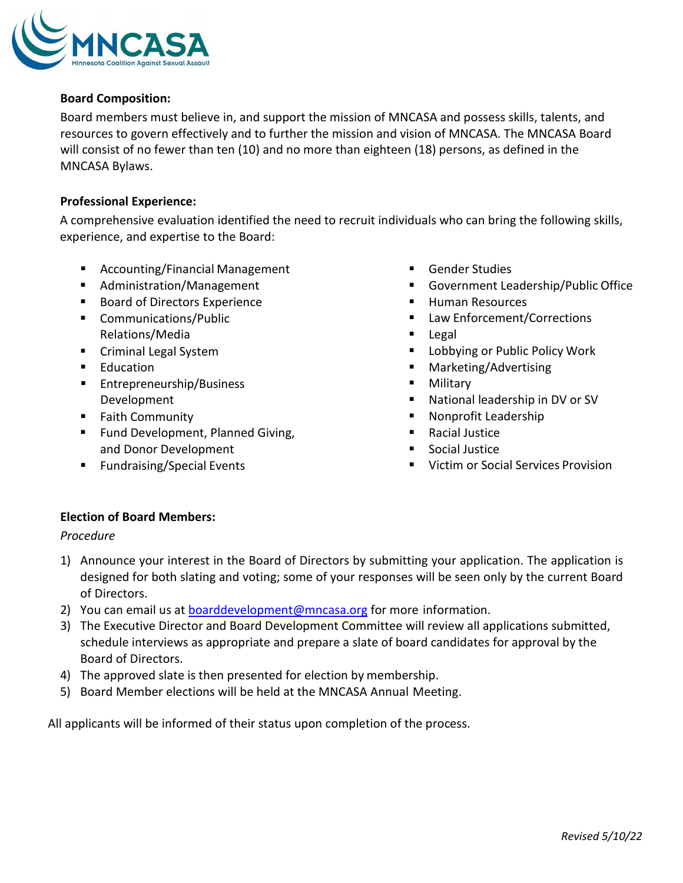

## **Board Composition:**

Board members must believe in, and support the mission of MNCASA and possess skills, talents, and resources to govern effectively and to further the mission and vision of MNCASA. The MNCASA Board will consist of no fewer than ten (10) and no more than eighteen (18) persons, as defined in the MNCASA Bylaws.

## **Professional Experience:**

A comprehensive evaluation identified the need to recruit individuals who can bring the following skills, experience, and expertise to the Board:

- Accounting/Financial Management
- Administration/Management
- **Board of Directors Experience**
- **Communications/Public** Relations/Media
- **Criminal Legal System**
- **Education**
- **Entrepreneurship/Business** Development
- **Faith Community**
- **Fund Development, Planned Giving,** and Donor Development
- **Fundraising/Special Events**
- Gender Studies
- Government Leadership/Public Office
- **Human Resources**
- Law Enforcement/Corrections
- Legal
- **Lobbying or Public Policy Work**
- Marketing/Advertising
- **Military**
- National leadership in DV or SV
- Nonprofit Leadership
- Racial Justice
- **Social Justice**
- **URIGHT OF Social Services Provision**

## **Election of Board Members:**

## *Procedure*

- 1) Announce your interest in the Board of Directors by submitting your application. The application is designed for both slating and voting; some of your responses will be seen only by the current Board of Directors.
- 2) You can email us at [boarddevelopment@mncasa.org](mailto:boarddevelopment@mncasa.org) for more information.
- 3) The Executive Director and Board Development Committee will review all applications submitted, schedule interviews as appropriate and prepare a slate of board candidates for approval by the Board of Directors.
- 4) The approved slate is then presented for election by membership.
- 5) Board Member elections will be held at the MNCASA Annual Meeting.

All applicants will be informed of their status upon completion of the process.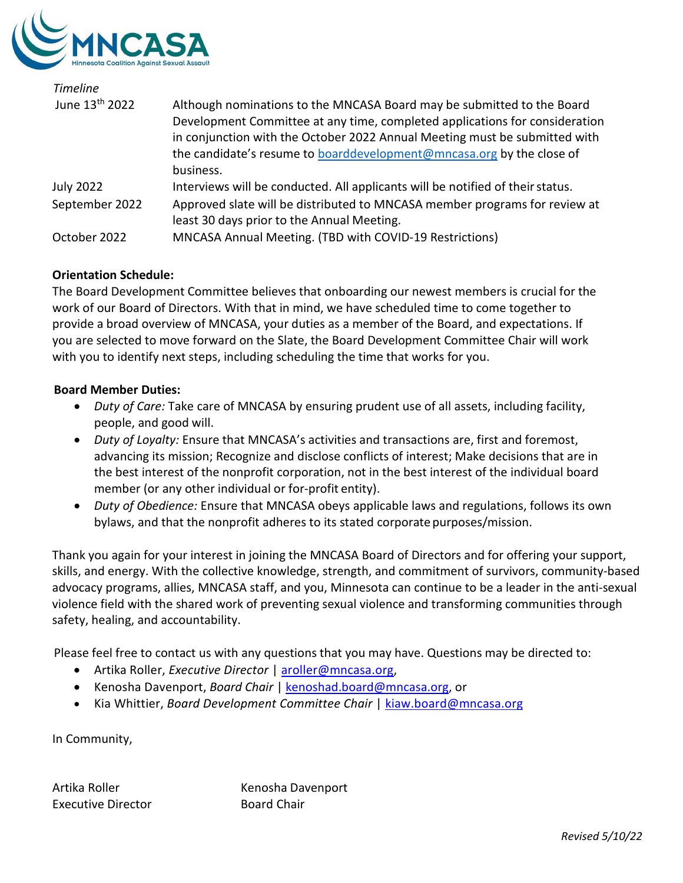

| <b>Timeline</b>            |                                                                                |
|----------------------------|--------------------------------------------------------------------------------|
| June 13 <sup>th</sup> 2022 | Although nominations to the MNCASA Board may be submitted to the Board         |
|                            | Development Committee at any time, completed applications for consideration    |
|                            | in conjunction with the October 2022 Annual Meeting must be submitted with     |
|                            | the candidate's resume to boarddevelopment@mncasa.org by the close of          |
|                            | business.                                                                      |
| <b>July 2022</b>           | Interviews will be conducted. All applicants will be notified of their status. |
| September 2022             | Approved slate will be distributed to MNCASA member programs for review at     |
|                            | least 30 days prior to the Annual Meeting.                                     |
| October 2022               | MNCASA Annual Meeting. (TBD with COVID-19 Restrictions)                        |

## **Orientation Schedule:**

The Board Development Committee believes that onboarding our newest members is crucial for the work of our Board of Directors. With that in mind, we have scheduled time to come together to provide a broad overview of MNCASA, your duties as a member of the Board, and expectations. If you are selected to move forward on the Slate, the Board Development Committee Chair will work with you to identify next steps, including scheduling the time that works for you.

## **Board Member Duties:**

- *Duty of Care:* Take care of MNCASA by ensuring prudent use of all assets, including facility, people, and good will.
- *Duty of Loyalty:* Ensure that MNCASA's activities and transactions are, first and foremost, advancing its mission; Recognize and disclose conflicts of interest; Make decisions that are in the best interest of the nonprofit corporation, not in the best interest of the individual board member (or any other individual or for-profit entity).
- *Duty of Obedience:* Ensure that MNCASA obeys applicable laws and regulations, follows its own bylaws, and that the nonprofit adheres to its stated corporatepurposes/mission.

Thank you again for your interest in joining the MNCASA Board of Directors and for offering your support, skills, and energy. With the collective knowledge, strength, and commitment of survivors, community-based advocacy programs, allies, MNCASA staff, and you, Minnesota can continue to be a leader in the anti-sexual violence field with the shared work of preventing sexual violence and transforming communities through safety, healing, and accountability.

Please feel free to contact us with any questions that you may have. Questions may be directed to:

- Artika Roller, *Executive Director* | [aroller@mncasa.org,](mailto:aroller@mncasa.org)
- Kenosha Davenport, *Board Chair* | [kenoshad.board@mncasa.org,](mailto:kenoshad.board@mncasa.org) or
- Kia Whittier, *Board Development Committee Chair* | [kiaw.board@mncasa.org](mailto:kiaw.board@mncasa.org)

In Community,

Executive Director **Board Chair** 

Artika Roller **Kenosha Davenport**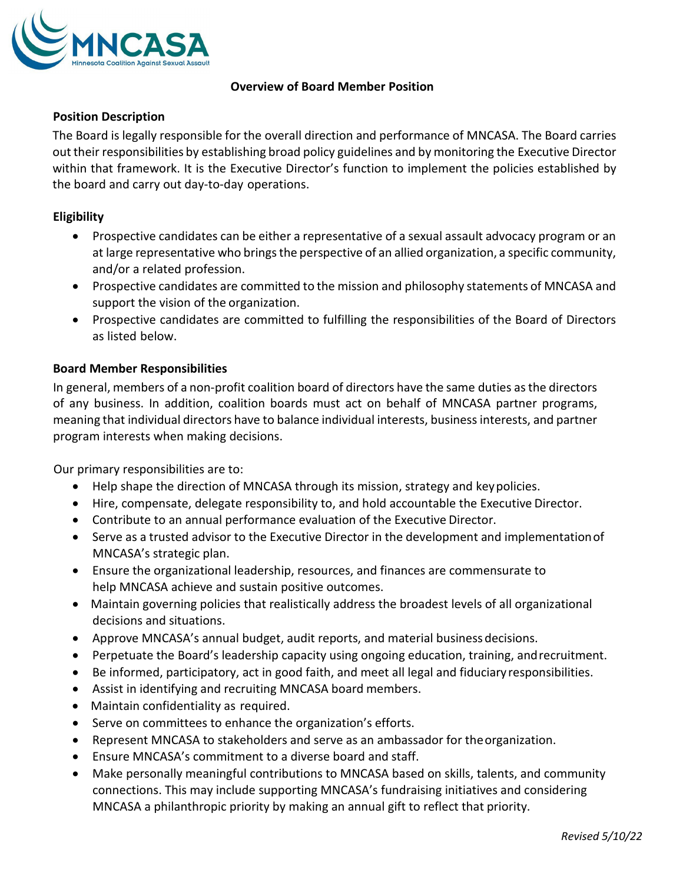

## **Overview of Board Member Position**

## **Position Description**

The Board is legally responsible for the overall direction and performance of MNCASA. The Board carries out their responsibilities by establishing broad policy guidelines and by monitoring the Executive Director within that framework. It is the Executive Director's function to implement the policies established by the board and carry out day-to-day operations.

## **Eligibility**

- Prospective candidates can be either a representative of a sexual assault advocacy program or an at large representative who bringsthe perspective of an allied organization, a specific community, and/or a related profession.
- Prospective candidates are committed to the mission and philosophy statements of MNCASA and support the vision of the organization.
- Prospective candidates are committed to fulfilling the responsibilities of the Board of Directors as listed below.

## **Board Member Responsibilities**

In general, members of a non-profit coalition board of directors have the same duties asthe directors of any business. In addition, coalition boards must act on behalf of MNCASA partner programs, meaning that individual directors have to balance individual interests, businessinterests, and partner program interests when making decisions.

Our primary responsibilities are to:

- Help shape the direction of MNCASA through its mission, strategy and keypolicies.
- Hire, compensate, delegate responsibility to, and hold accountable the Executive Director.
- Contribute to an annual performance evaluation of the Executive Director.
- Serve as a trusted advisor to the Executive Director in the development and implementationof MNCASA's strategic plan.
- Ensure the organizational leadership, resources, and finances are commensurate to help MNCASA achieve and sustain positive outcomes.
- Maintain governing policies that realistically address the broadest levels of all organizational decisions and situations.
- Approve MNCASA's annual budget, audit reports, and material business decisions.
- Perpetuate the Board's leadership capacity using ongoing education, training, andrecruitment.
- Be informed, participatory, act in good faith, and meet all legal and fiduciary responsibilities.
- Assist in identifying and recruiting MNCASA board members.
- Maintain confidentiality as required.
- Serve on committees to enhance the organization's efforts.
- Represent MNCASA to stakeholders and serve as an ambassador for theorganization.
- Ensure MNCASA's commitment to a diverse board and staff.
- Make personally meaningful contributions to MNCASA based on skills, talents, and community connections. This may include supporting MNCASA's fundraising initiatives and considering MNCASA a philanthropic priority by making an annual gift to reflect that priority.